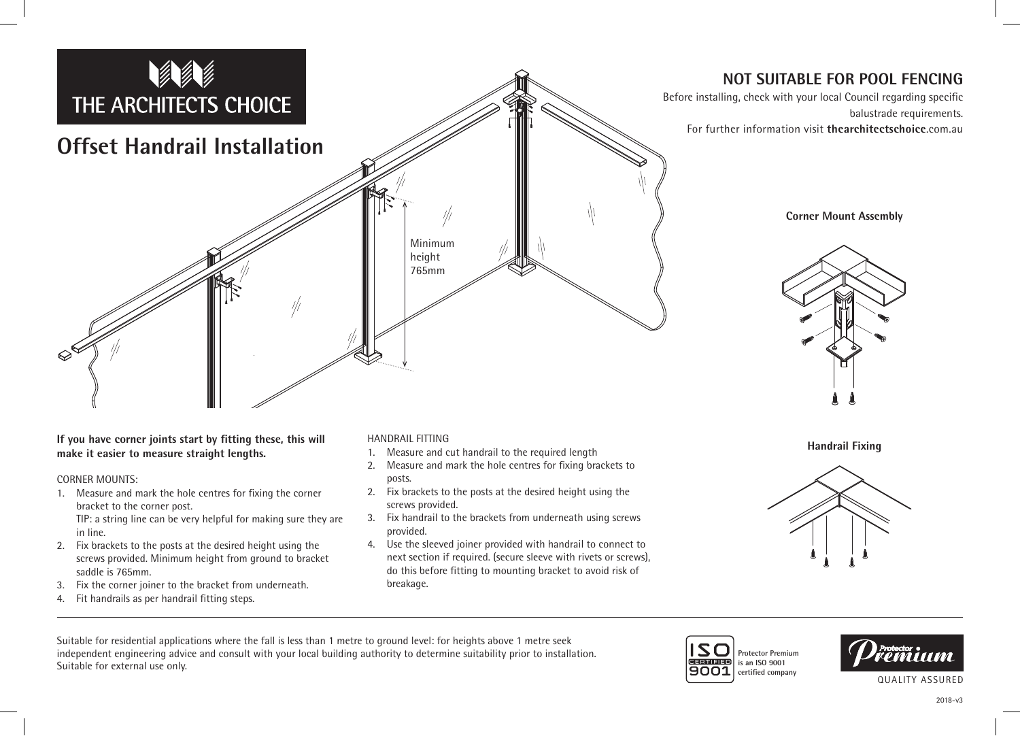

**NOT SUITABLE FOR POOL FENCING**

**Corner Mount Assembly**

balustrade requirements.

**If you have corner joints start by fitting these, this will make it easier to measure straight lengths.**

## CORNER MOUNTS:

- 1. Measure and mark the hole centres for fixing the corner bracket to the corner post. TIP: a string line can be very helpful for making sure they are
- in line. 2. Fix brackets to the posts at the desired height using the screws provided. Minimum height from ground to bracket saddle is 765mm.
- 3. Fix the corner joiner to the bracket from underneath.
- 4. Fit handrails as per handrail fitting steps.

## HANDRAIL FITTING

- 1. Measure and cut handrail to the required length
- 2. Measure and mark the hole centres for fixing brackets to posts.
- 2. Fix brackets to the posts at the desired height using the screws provided.
- 3. Fix handrail to the brackets from underneath using screws provided.
- 4. Use the sleeved joiner provided with handrail to connect to next section if required. (secure sleeve with rivets or screws), do this before fitting to mounting bracket to avoid risk of breakage.

**Handrail Fixing**



Suitable for residential applications where the fall is less than 1 metre to ground level: for heights above 1 metre seek independent engineering advice and consult with your local building authority to determine suitability prior to installation. Suitable for external use only.